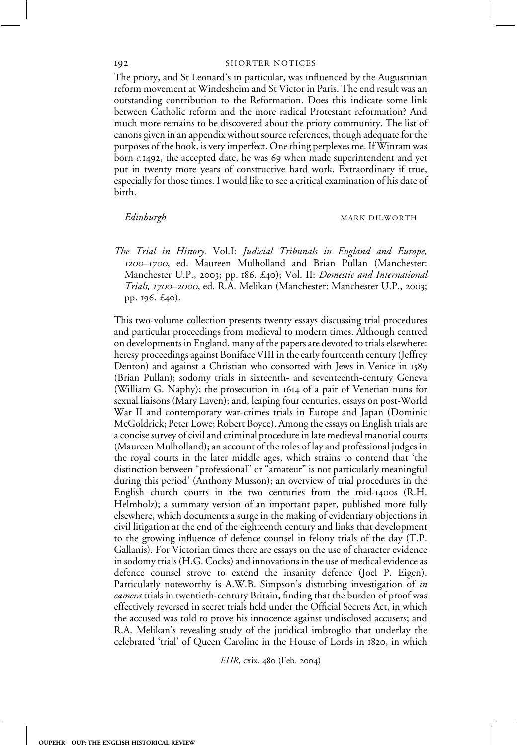## 192 SHORTER NOTICES

The priory, and St Leonard's in particular, was influenced by the Augustinian reform movement at Windesheim and St Victor in Paris. The end result was an outstanding contribution to the Reformation. Does this indicate some link between Catholic reform and the more radical Protestant reformation? And much more remains to be discovered about the priory community. The list of canons given in an appendix without source references, though adequate for the purposes of the book, is very imperfect. One thing perplexes me. If Winram was born *c.*1492, the accepted date, he was 69 when made superintendent and yet put in twenty more years of constructive hard work. Extraordinary if true, especially for those times. I would like to see a critical examination of his date of birth.

## *Edinburgh* MARK DILWORTH

*The Trial in History.* Vol.I: *Judicial Tribunals in England and Europe,* <sup>1200</sup>*–*1700, ed. Maureen Mulholland and Brian Pullan (Manchester: Manchester U.P., 2003; pp. 186. £40); Vol. II: *Domestic and International Trials,* 1700*–*2000, ed. R.A. Melikan (Manchester: Manchester U.P., 2003; pp. 196. £40).

This two-volume collection presents twenty essays discussing trial procedures and particular proceedings from medieval to modern times. Although centred on developments in England, many of the papers are devoted to trials elsewhere: heresy proceedings against Boniface VIII in the early fourteenth century (Jeffrey Denton) and against a Christian who consorted with Jews in Venice in 1589 (Brian Pullan); sodomy trials in sixteenth- and seventeenth-century Geneva (William G. Naphy); the prosecution in 1614 of a pair of Venetian nuns for sexual liaisons (Mary Laven); and, leaping four centuries, essays on post-World War II and contemporary war-crimes trials in Europe and Japan (Dominic McGoldrick; Peter Lowe; Robert Boyce). Among the essays on English trials are a concise survey of civil and criminal procedure in late medieval manorial courts (Maureen Mulholland); an account of the roles of lay and professional judges in the royal courts in the later middle ages, which strains to contend that 'the distinction between "professional" or "amateur" is not particularly meaningful during this period' (Anthony Musson); an overview of trial procedures in the English church courts in the two centuries from the mid-1400s (R.H. Helmholz); a summary version of an important paper, published more fully elsewhere, which documents a surge in the making of evidentiary objections in civil litigation at the end of the eighteenth century and links that development to the growing influence of defence counsel in felony trials of the day (T.P. Gallanis). For Victorian times there are essays on the use of character evidence in sodomy trials (H.G. Cocks) and innovations in the use of medical evidence as defence counsel strove to extend the insanity defence (Joel P. Eigen). Particularly noteworthy is A.W.B. Simpson's disturbing investigation of *in camera* trials in twentieth-century Britain, finding that the burden of proof was effectively reversed in secret trials held under the Official Secrets Act, in which the accused was told to prove his innocence against undisclosed accusers; and R.A. Melikan's revealing study of the juridical imbroglio that underlay the celebrated 'trial' of Queen Caroline in the House of Lords in 1820, in which

*EHR*, cxix. 480 (Feb. 2004)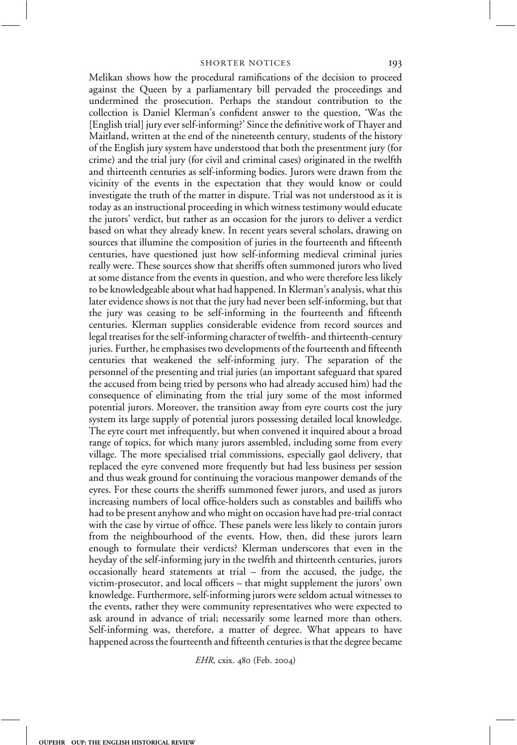Melikan shows how the procedural ramifications of the decision to proceed against the Queen by a parliamentary bill pervaded the proceedings and undermined the prosecution. Perhaps the standout contribution to the collection is Daniel Klerman's confident answer to the question, 'Was the [English trial] jury ever self-informing?' Since the definitive work of Thayer and Maitland, written at the end of the nineteenth century, students of the history of the English jury system have understood that both the presentment jury (for crime) and the trial jury (for civil and criminal cases) originated in the twelfth and thirteenth centuries as self-informing bodies. Jurors were drawn from the vicinity of the events in the expectation that they would know or could investigate the truth of the matter in dispute. Trial was not understood as it is today as an instructional proceeding in which witness testimony would educate the jurors' verdict, but rather as an occasion for the jurors to deliver a verdict based on what they already knew. In recent years several scholars, drawing on sources that illumine the composition of juries in the fourteenth and fifteenth centuries, have questioned just how self-informing medieval criminal juries really were. These sources show that sheriffs often summoned jurors who lived at some distance from the events in question, and who were therefore less likely to be knowledgeable about what had happened. In Klerman's analysis, what this later evidence shows is not that the jury had never been self-informing, but that the jury was ceasing to be self-informing in the fourteenth and fifteenth centuries. Klerman supplies considerable evidence from record sources and legal treatises for the self-informing character of twelfth- and thirteenth-century juries. Further, he emphasises two developments of the fourteenth and fifteenth centuries that weakened the self-informing jury. The separation of the personnel of the presenting and trial juries (an important safeguard that spared the accused from being tried by persons who had already accused him) had the consequence of eliminating from the trial jury some of the most informed potential jurors. Moreover, the transition away from eyre courts cost the jury system its large supply of potential jurors possessing detailed local knowledge. The eyre court met infrequently, but when convened it inquired about a broad range of topics, for which many jurors assembled, including some from every village. The more specialised trial commissions, especially gaol delivery, that replaced the eyre convened more frequently but had less business per session and thus weak ground for continuing the voracious manpower demands of the eyres. For these courts the sheriffs summoned fewer jurors, and used as jurors increasing numbers of local office-holders such as constables and bailiffs who had to be present anyhow and who might on occasion have had pre-trial contact with the case by virtue of office. These panels were less likely to contain jurors from the neighbourhood of the events. How, then, did these jurors learn enough to formulate their verdicts? Klerman underscores that even in the heyday of the self-informing jury in the twelfth and thirteenth centuries, jurors occasionally heard statements at trial – from the accused, the judge, the victim-prosecutor, and local officers – that might supplement the jurors' own knowledge. Furthermore, self-informing jurors were seldom actual witnesses to the events, rather they were community representatives who were expected to ask around in advance of trial; necessarily some learned more than others. Self-informing was, therefore, a matter of degree. What appears to have happened across the fourteenth and fifteenth centuries is that the degree became

*EHR*, cxix. 480 (Feb. 2004)